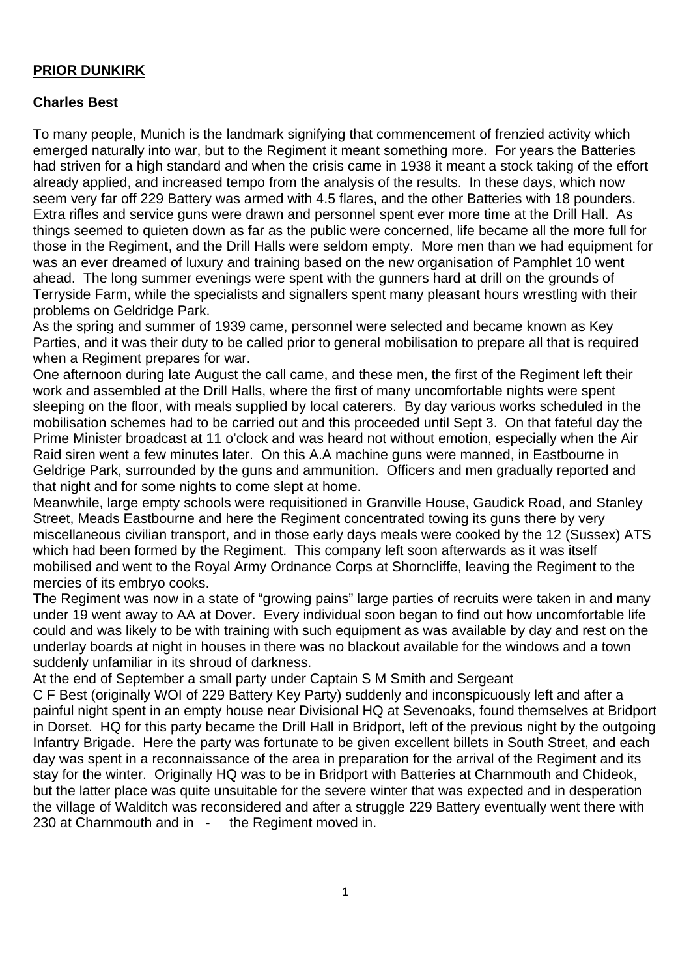## **PRIOR DUNKIRK**

## **Charles Best**

To many people, Munich is the landmark signifying that commencement of frenzied activity which emerged naturally into war, but to the Regiment it meant something more. For years the Batteries had striven for a high standard and when the crisis came in 1938 it meant a stock taking of the effort already applied, and increased tempo from the analysis of the results. In these days, which now seem very far off 229 Battery was armed with 4.5 flares, and the other Batteries with 18 pounders. Extra rifles and service guns were drawn and personnel spent ever more time at the Drill Hall. As things seemed to quieten down as far as the public were concerned, life became all the more full for those in the Regiment, and the Drill Halls were seldom empty. More men than we had equipment for was an ever dreamed of luxury and training based on the new organisation of Pamphlet 10 went ahead. The long summer evenings were spent with the gunners hard at drill on the grounds of Terryside Farm, while the specialists and signallers spent many pleasant hours wrestling with their problems on Geldridge Park.

As the spring and summer of 1939 came, personnel were selected and became known as Key Parties, and it was their duty to be called prior to general mobilisation to prepare all that is required when a Regiment prepares for war.

One afternoon during late August the call came, and these men, the first of the Regiment left their work and assembled at the Drill Halls, where the first of many uncomfortable nights were spent sleeping on the floor, with meals supplied by local caterers. By day various works scheduled in the mobilisation schemes had to be carried out and this proceeded until Sept 3. On that fateful day the Prime Minister broadcast at 11 o'clock and was heard not without emotion, especially when the Air Raid siren went a few minutes later. On this A.A machine guns were manned, in Eastbourne in Geldrige Park, surrounded by the guns and ammunition. Officers and men gradually reported and that night and for some nights to come slept at home.

Meanwhile, large empty schools were requisitioned in Granville House, Gaudick Road, and Stanley Street, Meads Eastbourne and here the Regiment concentrated towing its guns there by very miscellaneous civilian transport, and in those early days meals were cooked by the 12 (Sussex) ATS which had been formed by the Regiment. This company left soon afterwards as it was itself mobilised and went to the Royal Army Ordnance Corps at Shorncliffe, leaving the Regiment to the mercies of its embryo cooks.

The Regiment was now in a state of "growing pains" large parties of recruits were taken in and many under 19 went away to AA at Dover. Every individual soon began to find out how uncomfortable life could and was likely to be with training with such equipment as was available by day and rest on the underlay boards at night in houses in there was no blackout available for the windows and a town suddenly unfamiliar in its shroud of darkness.

At the end of September a small party under Captain S M Smith and Sergeant

C F Best (originally WOI of 229 Battery Key Party) suddenly and inconspicuously left and after a painful night spent in an empty house near Divisional HQ at Sevenoaks, found themselves at Bridport in Dorset. HQ for this party became the Drill Hall in Bridport, left of the previous night by the outgoing Infantry Brigade. Here the party was fortunate to be given excellent billets in South Street, and each day was spent in a reconnaissance of the area in preparation for the arrival of the Regiment and its stay for the winter. Originally HQ was to be in Bridport with Batteries at Charnmouth and Chideok, but the latter place was quite unsuitable for the severe winter that was expected and in desperation the village of Walditch was reconsidered and after a struggle 229 Battery eventually went there with 230 at Charnmouth and in - the Regiment moved in.